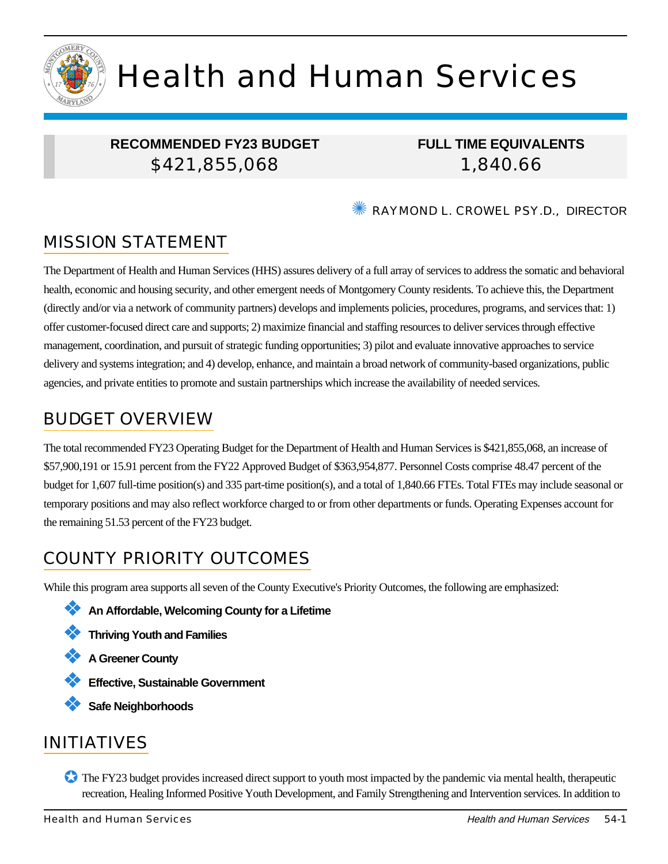

# Health and Human Services

# **RECOMMENDED FY23 BUDGET** \$421,855,068

**FULL TIME EQUIVALENTS** 1,840.66

RAYMOND L. CROWEL PSY.D., DIRECTOR

# MISSION STATEMENT

The Department of Health and Human Services (HHS) assures delivery of a full array of services to address the somatic and behavioral health, economic and housing security, and other emergent needs of Montgomery County residents. To achieve this, the Department (directly and/or via a network of community partners) develops and implements policies, procedures, programs, and services that: 1) offer customer-focused direct care and supports; 2) maximize financial and staffing resources to deliver services through effective management, coordination, and pursuit of strategic funding opportunities; 3) pilot and evaluate innovative approaches to service delivery and systems integration; and 4) develop, enhance, and maintain a broad network of community-based organizations, public agencies, and private entities to promote and sustain partnerships which increase the availability of needed services.

# BUDGET OVERVIEW

The total recommended FY23 Operating Budget for the Department of Health and Human Services is \$421,855,068, an increase of \$57,900,191 or 15.91 percent from the FY22 Approved Budget of \$363,954,877. Personnel Costs comprise 48.47 percent of the budget for 1,607 full-time position(s) and 335 part-time position(s), and a total of 1,840.66 FTEs. Total FTEs may include seasonal or temporary positions and may also reflect workforce charged to or from other departments or funds. Operating Expenses account for the remaining 51.53 percent of the FY23 budget.

# COUNTY PRIORITY OUTCOMES

While this program area supports all seven of the County Executive's Priority Outcomes, the following are emphasized:

- ❖ **An Affordable, Welcoming County for a Lifetime**
- ❖ **Thriving Youth and Families**
- ❖ **A Greener County**
- ❖ **Effective, Sustainable Government**
- ❖ **Safe Neighborhoods**

# INITIATIVES

✪ The FY23 budget provides increased direct support to youth most impacted by the pandemic via mental health, therapeutic recreation, Healing Informed Positive Youth Development, and Family Strengthening and Intervention services. In addition to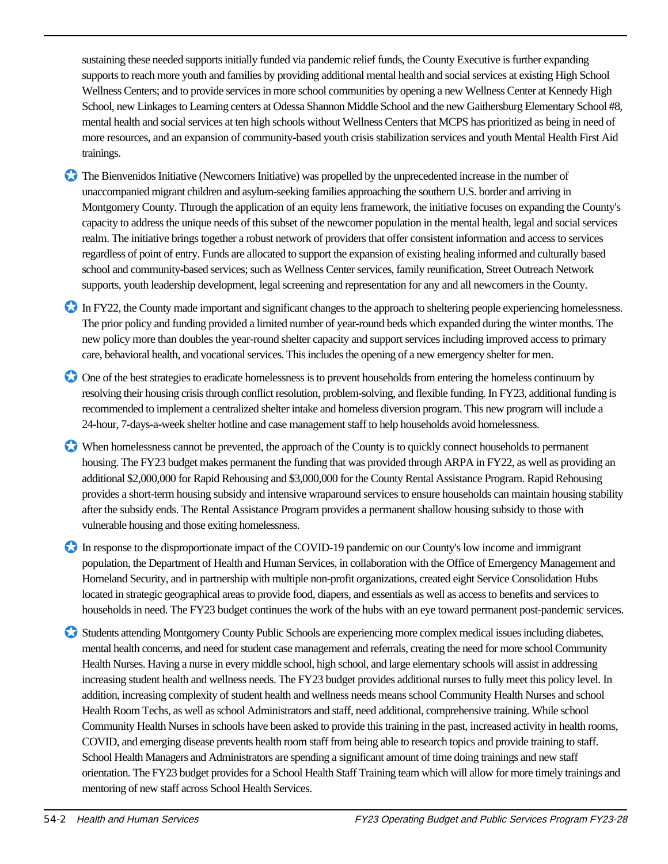sustaining these needed supports initially funded via pandemic relief funds, the County Executive is further expanding supports to reach more youth and families by providing additional mental health and social services at existing High School Wellness Centers; and to provide services in more school communities by opening a new Wellness Center at Kennedy High School, new Linkages to Learning centers at Odessa Shannon Middle School and the new Gaithersburg Elementary School #8, mental health and social services at ten high schools without Wellness Centers that MCPS has prioritized as being in need of more resources, and an expansion of community-based youth crisis stabilization services and youth Mental Health First Aid trainings.

- ✪ The Bienvenidos Initiative (Newcomers Initiative) was propelled by the unprecedented increase in the number of unaccompanied migrant children and asylum-seeking families approaching the southern U.S. border and arriving in Montgomery County. Through the application of an equity lens framework, the initiative focuses on expanding the County's capacity to address the unique needs of this subset of the newcomer population in the mental health, legal and social services realm. The initiative brings together a robust network of providers that offer consistent information and access to services regardless of point of entry. Funds are allocated to support the expansion of existing healing informed and culturally based school and community-based services; such as Wellness Center services, family reunification, Street Outreach Network supports, youth leadership development, legal screening and representation for any and all newcomers in the County.
- In FY22, the County made important and significant changes to the approach to sheltering people experiencing homelessness. The prior policy and funding provided a limited number of year-round beds which expanded during the winter months. The new policy more than doubles the year-round shelter capacity and support services including improved access to primary care, behavioral health, and vocational services. This includes the opening of a new emergency shelter for men.
- ✪ One of the best strategies to eradicate homelessness is to prevent households from entering the homeless continuum by resolving their housing crisis through conflict resolution, problem-solving, and flexible funding. In FY23, additional funding is recommended to implement a centralized shelter intake and homeless diversion program. This new program will include a 24-hour, 7-days-a-week shelter hotline and case management staff to help households avoid homelessness.
- ✪ When homelessness cannot be prevented, the approach of the County is to quickly connect households to permanent housing. The FY23 budget makes permanent the funding that was provided through ARPA in FY22, as well as providing an additional \$2,000,000 for Rapid Rehousing and \$3,000,000 for the County Rental Assistance Program. Rapid Rehousing provides a short-term housing subsidy and intensive wraparound services to ensure households can maintain housing stability after the subsidy ends. The Rental Assistance Program provides a permanent shallow housing subsidy to those with vulnerable housing and those exiting homelessness.
- In response to the disproportionate impact of the COVID-19 pandemic on our County's low income and immigrant population, the Department of Health and Human Services, in collaboration with the Office of Emergency Management and Homeland Security, and in partnership with multiple non-profit organizations, created eight Service Consolidation Hubs located in strategic geographical areas to provide food, diapers, and essentials as well as access to benefits and services to households in need. The FY23 budget continues the work of the hubs with an eye toward permanent post-pandemic services.
- ✪ Students attending Montgomery County Public Schools are experiencing more complex medical issues including diabetes, mental health concerns, and need for student case management and referrals, creating the need for more school Community Health Nurses. Having a nurse in every middle school, high school, and large elementary schools will assist in addressing increasing student health and wellness needs. The FY23 budget provides additional nurses to fully meet this policy level. In addition, increasing complexity of student health and wellness needs means school Community Health Nurses and school Health Room Techs, as well as school Administrators and staff, need additional, comprehensive training. While school Community Health Nurses in schools have been asked to provide this training in the past, increased activity in health rooms, COVID, and emerging disease prevents health room staff from being able to research topics and provide training to staff. School Health Managers and Administrators are spending a significant amount of time doing trainings and new staff orientation. The FY23 budget provides for a School Health Staff Training team which will allow for more timely trainings and mentoring of new staff across School Health Services.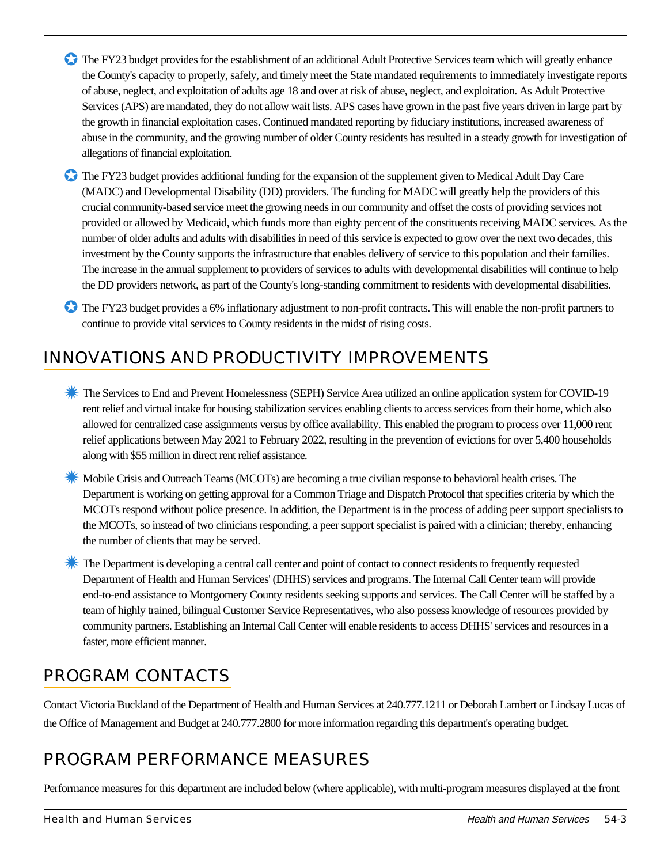- ✪ The FY23 budget provides for the establishment of an additional Adult Protective Services team which will greatly enhance the County's capacity to properly, safely, and timely meet the State mandated requirements to immediately investigate reports of abuse, neglect, and exploitation of adults age 18 and over at risk of abuse, neglect, and exploitation. As Adult Protective Services (APS) are mandated, they do not allow wait lists. APS cases have grown in the past five years driven in large part by the growth in financial exploitation cases. Continued mandated reporting by fiduciary institutions, increased awareness of abuse in the community, and the growing number of older County residents has resulted in a steady growth for investigation of allegations of financial exploitation.
- ✪ The FY23 budget provides additional funding for the expansion of the supplement given to Medical Adult Day Care (MADC) and Developmental Disability (DD) providers. The funding for MADC will greatly help the providers of this crucial community-based service meet the growing needs in our community and offset the costs of providing services not provided or allowed by Medicaid, which funds more than eighty percent of the constituents receiving MADC services. As the number of older adults and adults with disabilities in need of this service is expected to grow over the next two decades, this investment by the County supports the infrastructure that enables delivery of service to this population and their families. The increase in the annual supplement to providers of services to adults with developmental disabilities will continue to help the DD providers network, as part of the County's long-standing commitment to residents with developmental disabilities.
- ✪ The FY23 budget provides a 6% inflationary adjustment to non-profit contracts. This will enable the non-profit partners to continue to provide vital services to County residents in the midst of rising costs.

# INNOVATIONS AND PRODUCTIVITY IMPROVEMENTS

- **K** The Services to End and Prevent Homelessness (SEPH) Service Area utilized an online application system for COVID-19 rent relief and virtual intake for housing stabilization services enabling clients to access services from their home, which also allowed for centralized case assignments versus by office availability. This enabled the program to process over 11,000 rent relief applications between May 2021 to February 2022, resulting in the prevention of evictions for over 5,400 households along with \$55 million in direct rent relief assistance.
- ✹ Mobile Crisis and Outreach Teams (MCOTs) are becoming a true civilian response to behavioral health crises. The Department is working on getting approval for a Common Triage and Dispatch Protocol that specifies criteria by which the MCOTs respond without police presence. In addition, the Department is in the process of adding peer support specialists to the MCOTs, so instead of two clinicians responding, a peer support specialist is paired with a clinician; thereby, enhancing the number of clients that may be served.

✹ The Department is developing a central call center and point of contact to connect residents to frequently requested Department of Health and Human Services' (DHHS) services and programs. The Internal Call Center team will provide end-to-end assistance to Montgomery County residents seeking supports and services. The Call Center will be staffed by a team of highly trained, bilingual Customer Service Representatives, who also possess knowledge of resources provided by community partners. Establishing an Internal Call Center will enable residents to access DHHS' services and resources in a faster, more efficient manner.

# PROGRAM CONTACTS

Contact Victoria Buckland of the Department of Health and Human Services at 240.777.1211 or Deborah Lambert or Lindsay Lucas of the Office of Management and Budget at 240.777.2800 for more information regarding this department's operating budget.

# PROGRAM PERFORMANCE MEASURES

Performance measures for this department are included below (where applicable), with multi-program measures displayed at the front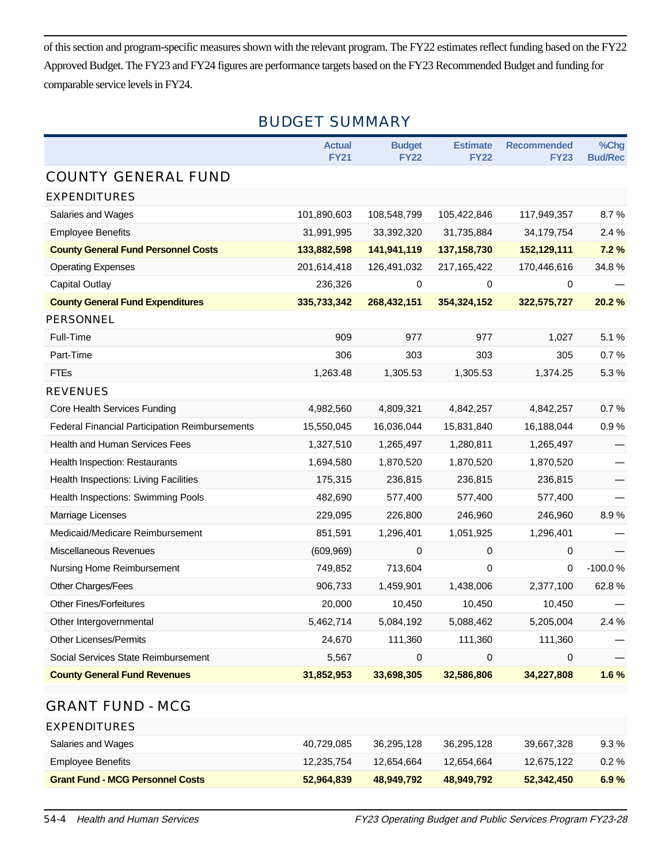of this section and program-specific measures shown with the relevant program. The FY22 estimates reflect funding based on the FY22 Approved Budget. The FY23 and FY24 figures are performance targets based on the FY23 Recommended Budget and funding for comparable service levels in FY24.

# BUDGET SUMMARY

|                                                       | <b>Actual</b><br><b>FY21</b> | <b>Budget</b><br><b>FY22</b> | <b>Estimate</b><br><b>FY22</b> | <b>Recommended</b><br><b>FY23</b> | %Chg<br><b>Bud/Rec</b> |
|-------------------------------------------------------|------------------------------|------------------------------|--------------------------------|-----------------------------------|------------------------|
| <b>COUNTY GENERAL FUND</b>                            |                              |                              |                                |                                   |                        |
| <b>EXPENDITURES</b>                                   |                              |                              |                                |                                   |                        |
| Salaries and Wages                                    | 101,890,603                  | 108,548,799                  | 105,422,846                    | 117,949,357                       | 8.7%                   |
| <b>Employee Benefits</b>                              | 31,991,995                   | 33,392,320                   | 31,735,884                     | 34,179,754                        | 2.4%                   |
| <b>County General Fund Personnel Costs</b>            | 133,882,598                  | 141,941,119                  | 137, 158, 730                  | 152,129,111                       | 7.2%                   |
| <b>Operating Expenses</b>                             | 201,614,418                  | 126,491,032                  | 217, 165, 422                  | 170,446,616                       | 34.8%                  |
| Capital Outlay                                        | 236,326                      | 0                            | 0                              | 0                                 |                        |
| <b>County General Fund Expenditures</b>               | 335,733,342                  | 268,432,151                  | 354,324,152                    | 322,575,727                       | 20.2%                  |
| <b>PERSONNEL</b>                                      |                              |                              |                                |                                   |                        |
| Full-Time                                             | 909                          | 977                          | 977                            | 1,027                             | 5.1%                   |
| Part-Time                                             | 306                          | 303                          | 303                            | 305                               | 0.7%                   |
| <b>FTEs</b>                                           | 1,263.48                     | 1,305.53                     | 1,305.53                       | 1,374.25                          | 5.3%                   |
| <b>REVENUES</b>                                       |                              |                              |                                |                                   |                        |
| Core Health Services Funding                          | 4,982,560                    | 4,809,321                    | 4,842,257                      | 4,842,257                         | 0.7%                   |
| <b>Federal Financial Participation Reimbursements</b> | 15,550,045                   | 16,036,044                   | 15,831,840                     | 16,188,044                        | 0.9%                   |
| <b>Health and Human Services Fees</b>                 | 1,327,510                    | 1,265,497                    | 1,280,811                      | 1,265,497                         |                        |
| <b>Health Inspection: Restaurants</b>                 | 1,694,580                    | 1,870,520                    | 1,870,520                      | 1,870,520                         |                        |
| Health Inspections: Living Facilities                 | 175,315                      | 236,815                      | 236,815                        | 236,815                           |                        |
| Health Inspections: Swimming Pools                    | 482,690                      | 577,400                      | 577,400                        | 577,400                           |                        |
| Marriage Licenses                                     | 229,095                      | 226,800                      | 246,960                        | 246,960                           | 8.9%                   |
| Medicaid/Medicare Reimbursement                       | 851,591                      | 1,296,401                    | 1,051,925                      | 1,296,401                         |                        |
| <b>Miscellaneous Revenues</b>                         | (609, 969)                   | $\mathbf 0$                  | 0                              | 0                                 |                        |
| Nursing Home Reimbursement                            | 749,852                      | 713,604                      | $\mathbf 0$                    | $\Omega$                          | $-100.0%$              |
| Other Charges/Fees                                    | 906,733                      | 1,459,901                    | 1,438,006                      | 2,377,100                         | 62.8%                  |
| <b>Other Fines/Forfeitures</b>                        | 20,000                       | 10,450                       | 10,450                         | 10,450                            |                        |
| Other Intergovernmental                               | 5,462,714                    | 5,084,192                    | 5,088,462                      | 5,205,004                         | 2.4%                   |
| <b>Other Licenses/Permits</b>                         | 24,670                       | 111,360                      | 111,360                        | 111,360                           |                        |
| Social Services State Reimbursement                   | 5,567                        | $\mathbf 0$                  | $\mathbf 0$                    | 0                                 |                        |
| <b>County General Fund Revenues</b>                   | 31,852,953                   | 33,698,305                   | 32,586,806                     | 34,227,808                        | 1.6%                   |

### GRANT FUND - MCG

EXPENDITURES

| <b>Grant Fund - MCG Personnel Costs</b> | 52,964,839 | 48.949.792 | 48.949.792 | 52,342,450 | 6.9%     |
|-----------------------------------------|------------|------------|------------|------------|----------|
| Employee Benefits                       | 12.235.754 | 12.654.664 | 12.654.664 | 12.675.122 | $0.2 \%$ |
| Salaries and Wages                      | 40,729,085 | 36.295.128 | 36.295.128 | 39.667.328 | 9.3 %    |
|                                         |            |            |            |            |          |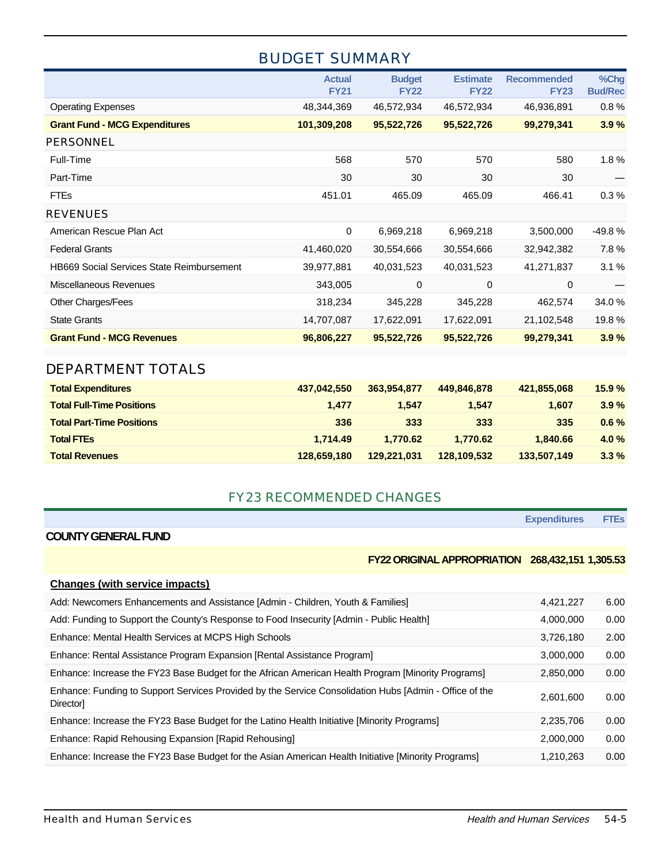# BUDGET SUMMARY

|                                                  | <b>Actual</b><br><b>FY21</b> | <b>Budget</b><br><b>FY22</b> | <b>Estimate</b><br><b>FY22</b> | <b>Recommended</b><br><b>FY23</b> | %Chg<br><b>Bud/Rec</b> |
|--------------------------------------------------|------------------------------|------------------------------|--------------------------------|-----------------------------------|------------------------|
| <b>Operating Expenses</b>                        | 48,344,369                   | 46,572,934                   | 46,572,934                     | 46,936,891                        | 0.8%                   |
| <b>Grant Fund - MCG Expenditures</b>             | 101,309,208                  | 95,522,726                   | 95,522,726                     | 99,279,341                        | 3.9%                   |
| <b>PERSONNEL</b>                                 |                              |                              |                                |                                   |                        |
| Full-Time                                        | 568                          | 570                          | 570                            | 580                               | 1.8%                   |
| Part-Time                                        | 30                           | 30                           | 30                             | 30                                |                        |
| <b>FTEs</b>                                      | 451.01                       | 465.09                       | 465.09                         | 466.41                            | 0.3%                   |
| <b>REVENUES</b>                                  |                              |                              |                                |                                   |                        |
| American Rescue Plan Act                         | 0                            | 6,969,218                    | 6,969,218                      | 3,500,000                         | $-49.8%$               |
| <b>Federal Grants</b>                            | 41,460,020                   | 30,554,666                   | 30,554,666                     | 32,942,382                        | 7.8%                   |
| <b>HB669 Social Services State Reimbursement</b> | 39,977,881                   | 40,031,523                   | 40,031,523                     | 41,271,837                        | 3.1%                   |
| Miscellaneous Revenues                           | 343,005                      | 0                            | 0                              | $\Omega$                          |                        |
| Other Charges/Fees                               | 318,234                      | 345,228                      | 345,228                        | 462,574                           | 34.0%                  |
| <b>State Grants</b>                              | 14,707,087                   | 17,622,091                   | 17,622,091                     | 21,102,548                        | 19.8%                  |
| <b>Grant Fund - MCG Revenues</b>                 | 96,806,227                   | 95,522,726                   | 95,522,726                     | 99,279,341                        | 3.9%                   |
|                                                  |                              |                              |                                |                                   |                        |

### DEPARTMENT TOTALS

| <b>Total Expenditures</b>        | 437.042.550 | 363.954.877 | 449,846,878 | 421,855,068 | 15.9%   |
|----------------------------------|-------------|-------------|-------------|-------------|---------|
| <b>Total Full-Time Positions</b> | 1.477       | 1.547       | 1.547       | 1.607       | 3.9%    |
| <b>Total Part-Time Positions</b> | 336         | 333         | 333         | 335         | $0.6\%$ |
| <b>Total FTEs</b>                | 1.714.49    | 1.770.62    | 1.770.62    | 1.840.66    | 4.0%    |
| <b>Total Revenues</b>            | 128.659.180 | 129.221.031 | 128,109,532 | 133,507,149 | $3.3\%$ |

#### FY23 RECOMMENDED CHANGES

#### **COUNTY GENERAL FUND**

#### **FY22 ORIGINAL APPROPRIATION 268,432,151 1,305.53**

**Expenditures FTEs**

| Changes (with service impacts)                                                                                     |           |      |
|--------------------------------------------------------------------------------------------------------------------|-----------|------|
| Add: Newcomers Enhancements and Assistance [Admin - Children, Youth & Families]                                    | 4,421,227 | 6.00 |
| Add: Funding to Support the County's Response to Food Insecurity [Admin - Public Health]                           | 4,000,000 | 0.00 |
| Enhance: Mental Health Services at MCPS High Schools                                                               | 3,726,180 | 2.00 |
| Enhance: Rental Assistance Program Expansion [Rental Assistance Program]                                           | 3.000.000 | 0.00 |
| Enhance: Increase the FY23 Base Budget for the African American Health Program [Minority Programs]                 | 2,850,000 | 0.00 |
| Enhance: Funding to Support Services Provided by the Service Consolidation Hubs [Admin - Office of the<br>Director | 2,601,600 | 0.00 |
| Enhance: Increase the FY23 Base Budget for the Latino Health Initiative [Minority Programs]                        | 2,235,706 | 0.00 |
| Enhance: Rapid Rehousing Expansion [Rapid Rehousing]                                                               | 2,000,000 | 0.00 |
| Enhance: Increase the FY23 Base Budget for the Asian American Health Initiative [Minority Programs]                | 1.210.263 | 0.00 |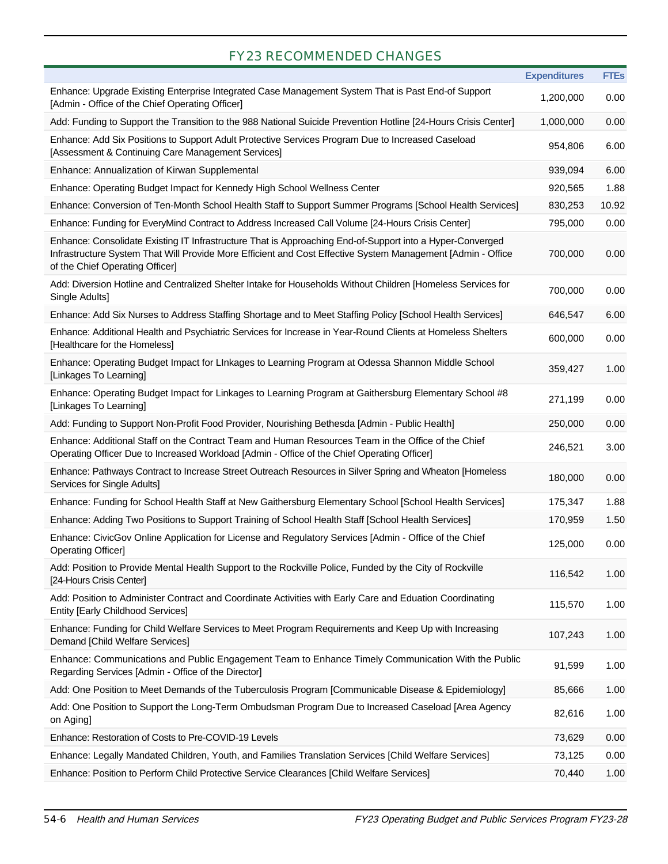## FY23 RECOMMENDED CHANGES

|                                                                                                                                                                                                                                                             | <b>Expenditures</b> | <b>FTEs</b> |
|-------------------------------------------------------------------------------------------------------------------------------------------------------------------------------------------------------------------------------------------------------------|---------------------|-------------|
| Enhance: Upgrade Existing Enterprise Integrated Case Management System That is Past End-of Support<br>[Admin - Office of the Chief Operating Officer]                                                                                                       | 1,200,000           | 0.00        |
| Add: Funding to Support the Transition to the 988 National Suicide Prevention Hotline [24-Hours Crisis Center]                                                                                                                                              | 1,000,000           | 0.00        |
| Enhance: Add Six Positions to Support Adult Protective Services Program Due to Increased Caseload<br>[Assessment & Continuing Care Management Services]                                                                                                     | 954,806             | 6.00        |
| Enhance: Annualization of Kirwan Supplemental                                                                                                                                                                                                               | 939,094             | 6.00        |
| Enhance: Operating Budget Impact for Kennedy High School Wellness Center                                                                                                                                                                                    | 920,565             | 1.88        |
| Enhance: Conversion of Ten-Month School Health Staff to Support Summer Programs [School Health Services]                                                                                                                                                    | 830,253             | 10.92       |
| Enhance: Funding for EveryMind Contract to Address Increased Call Volume [24-Hours Crisis Center]                                                                                                                                                           | 795,000             | 0.00        |
| Enhance: Consolidate Existing IT Infrastructure That is Approaching End-of-Support into a Hyper-Converged<br>Infrastructure System That Will Provide More Efficient and Cost Effective System Management [Admin - Office<br>of the Chief Operating Officer] | 700,000             | 0.00        |
| Add: Diversion Hotline and Centralized Shelter Intake for Households Without Children [Homeless Services for<br>Single Adults]                                                                                                                              | 700,000             | 0.00        |
| Enhance: Add Six Nurses to Address Staffing Shortage and to Meet Staffing Policy [School Health Services]                                                                                                                                                   | 646,547             | 6.00        |
| Enhance: Additional Health and Psychiatric Services for Increase in Year-Round Clients at Homeless Shelters<br>[Healthcare for the Homeless]                                                                                                                | 600,000             | 0.00        |
| Enhance: Operating Budget Impact for LInkages to Learning Program at Odessa Shannon Middle School<br>[Linkages To Learning]                                                                                                                                 | 359,427             | 1.00        |
| Enhance: Operating Budget Impact for Linkages to Learning Program at Gaithersburg Elementary School #8<br>[Linkages To Learning]                                                                                                                            | 271,199             | 0.00        |
| Add: Funding to Support Non-Profit Food Provider, Nourishing Bethesda [Admin - Public Health]                                                                                                                                                               | 250,000             | 0.00        |
| Enhance: Additional Staff on the Contract Team and Human Resources Team in the Office of the Chief<br>Operating Officer Due to Increased Workload [Admin - Office of the Chief Operating Officer]                                                           | 246,521             | 3.00        |
| Enhance: Pathways Contract to Increase Street Outreach Resources in Silver Spring and Wheaton [Homeless<br>Services for Single Adults]                                                                                                                      | 180,000             | 0.00        |
| Enhance: Funding for School Health Staff at New Gaithersburg Elementary School [School Health Services]                                                                                                                                                     | 175,347             | 1.88        |
| Enhance: Adding Two Positions to Support Training of School Health Staff [School Health Services]                                                                                                                                                           | 170,959             | 1.50        |
| Enhance: CivicGov Online Application for License and Regulatory Services [Admin - Office of the Chief<br><b>Operating Officer]</b>                                                                                                                          | 125,000             | 0.00        |
| Add: Position to Provide Mental Health Support to the Rockville Police, Funded by the City of Rockville<br>[24-Hours Crisis Center]                                                                                                                         | 116,542             | 1.00        |
| Add: Position to Administer Contract and Coordinate Activities with Early Care and Eduation Coordinating<br><b>Entity [Early Childhood Services]</b>                                                                                                        | 115,570             | 1.00        |
| Enhance: Funding for Child Welfare Services to Meet Program Requirements and Keep Up with Increasing<br>Demand [Child Welfare Services]                                                                                                                     | 107,243             | 1.00        |
| Enhance: Communications and Public Engagement Team to Enhance Timely Communication With the Public<br>Regarding Services [Admin - Office of the Director]                                                                                                   | 91,599              | 1.00        |
| Add: One Position to Meet Demands of the Tuberculosis Program [Communicable Disease & Epidemiology]                                                                                                                                                         | 85,666              | 1.00        |
| Add: One Position to Support the Long-Term Ombudsman Program Due to Increased Caseload [Area Agency<br>on Aging]                                                                                                                                            | 82,616              | 1.00        |
| Enhance: Restoration of Costs to Pre-COVID-19 Levels                                                                                                                                                                                                        | 73,629              | 0.00        |
| Enhance: Legally Mandated Children, Youth, and Families Translation Services [Child Welfare Services]                                                                                                                                                       | 73,125              | 0.00        |
| Enhance: Position to Perform Child Protective Service Clearances [Child Welfare Services]                                                                                                                                                                   | 70,440              | 1.00        |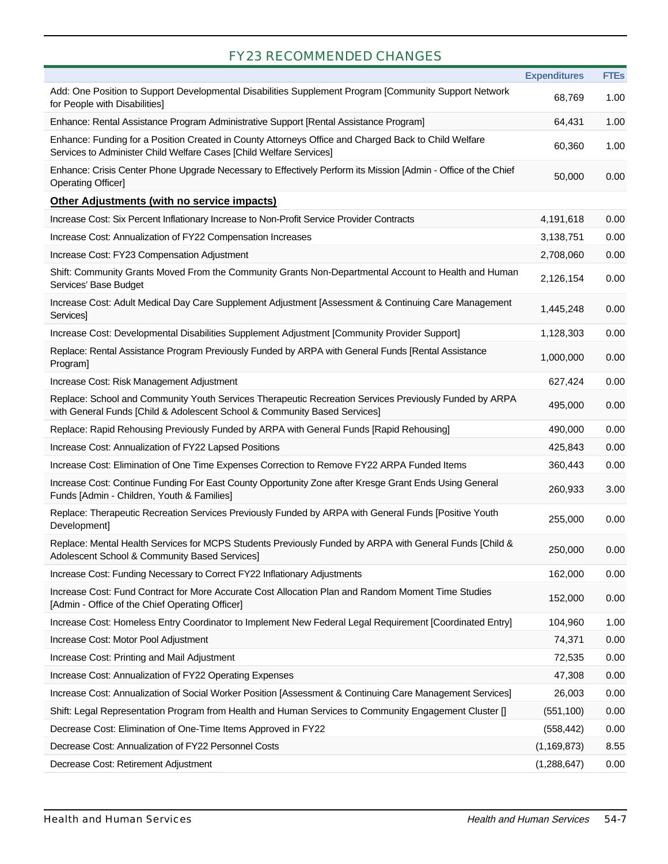## FY23 RECOMMENDED CHANGES

|                                                                                                                                                                                     | <b>Expenditures</b> | <b>FTEs</b> |
|-------------------------------------------------------------------------------------------------------------------------------------------------------------------------------------|---------------------|-------------|
| Add: One Position to Support Developmental Disabilities Supplement Program [Community Support Network<br>for People with Disabilities]                                              | 68,769              | 1.00        |
| Enhance: Rental Assistance Program Administrative Support [Rental Assistance Program]                                                                                               | 64,431              | 1.00        |
| Enhance: Funding for a Position Created in County Attorneys Office and Charged Back to Child Welfare<br>Services to Administer Child Welfare Cases [Child Welfare Services]         | 60,360              | 1.00        |
| Enhance: Crisis Center Phone Upgrade Necessary to Effectively Perform its Mission [Admin - Office of the Chief<br><b>Operating Officer]</b>                                         | 50,000              | 0.00        |
| Other Adjustments (with no service impacts)                                                                                                                                         |                     |             |
| Increase Cost: Six Percent Inflationary Increase to Non-Profit Service Provider Contracts                                                                                           | 4,191,618           | 0.00        |
| Increase Cost: Annualization of FY22 Compensation Increases                                                                                                                         | 3,138,751           | 0.00        |
| Increase Cost: FY23 Compensation Adjustment                                                                                                                                         | 2,708,060           | 0.00        |
| Shift: Community Grants Moved From the Community Grants Non-Departmental Account to Health and Human<br>Services' Base Budget                                                       | 2,126,154           | 0.00        |
| Increase Cost: Adult Medical Day Care Supplement Adjustment [Assessment & Continuing Care Management<br>Services]                                                                   | 1,445,248           | 0.00        |
| Increase Cost: Developmental Disabilities Supplement Adjustment [Community Provider Support]                                                                                        | 1,128,303           | 0.00        |
| Replace: Rental Assistance Program Previously Funded by ARPA with General Funds [Rental Assistance<br>Program]                                                                      | 1,000,000           | 0.00        |
| Increase Cost: Risk Management Adjustment                                                                                                                                           | 627,424             | 0.00        |
| Replace: School and Community Youth Services Therapeutic Recreation Services Previously Funded by ARPA<br>with General Funds [Child & Adolescent School & Community Based Services] | 495,000             | 0.00        |
| Replace: Rapid Rehousing Previously Funded by ARPA with General Funds [Rapid Rehousing]                                                                                             | 490,000             | 0.00        |
| Increase Cost: Annualization of FY22 Lapsed Positions                                                                                                                               | 425,843             | 0.00        |
| Increase Cost: Elimination of One Time Expenses Correction to Remove FY22 ARPA Funded Items                                                                                         | 360,443             | 0.00        |
| Increase Cost: Continue Funding For East County Opportunity Zone after Kresge Grant Ends Using General<br>Funds [Admin - Children, Youth & Families]                                | 260,933             | 3.00        |
| Replace: Therapeutic Recreation Services Previously Funded by ARPA with General Funds [Positive Youth<br>Development]                                                               | 255,000             | 0.00        |
| Replace: Mental Health Services for MCPS Students Previously Funded by ARPA with General Funds [Child &<br>Adolescent School & Community Based Services1                            | 250,000             | 0.00        |
| Increase Cost: Funding Necessary to Correct FY22 Inflationary Adjustments                                                                                                           | 162,000             | 0.00        |
| Increase Cost: Fund Contract for More Accurate Cost Allocation Plan and Random Moment Time Studies<br>[Admin - Office of the Chief Operating Officer]                               | 152,000             | 0.00        |
| Increase Cost: Homeless Entry Coordinator to Implement New Federal Legal Requirement [Coordinated Entry]                                                                            | 104,960             | 1.00        |
| Increase Cost: Motor Pool Adjustment                                                                                                                                                | 74,371              | 0.00        |
| Increase Cost: Printing and Mail Adjustment                                                                                                                                         | 72,535              | 0.00        |
| Increase Cost: Annualization of FY22 Operating Expenses                                                                                                                             | 47,308              | 0.00        |
| Increase Cost: Annualization of Social Worker Position [Assessment & Continuing Care Management Services]                                                                           | 26,003              | 0.00        |
| Shift: Legal Representation Program from Health and Human Services to Community Engagement Cluster []                                                                               | (551, 100)          | 0.00        |
| Decrease Cost: Elimination of One-Time Items Approved in FY22                                                                                                                       | (558, 442)          | 0.00        |
| Decrease Cost: Annualization of FY22 Personnel Costs                                                                                                                                | (1, 169, 873)       | 8.55        |
| Decrease Cost: Retirement Adjustment                                                                                                                                                | (1, 288, 647)       | 0.00        |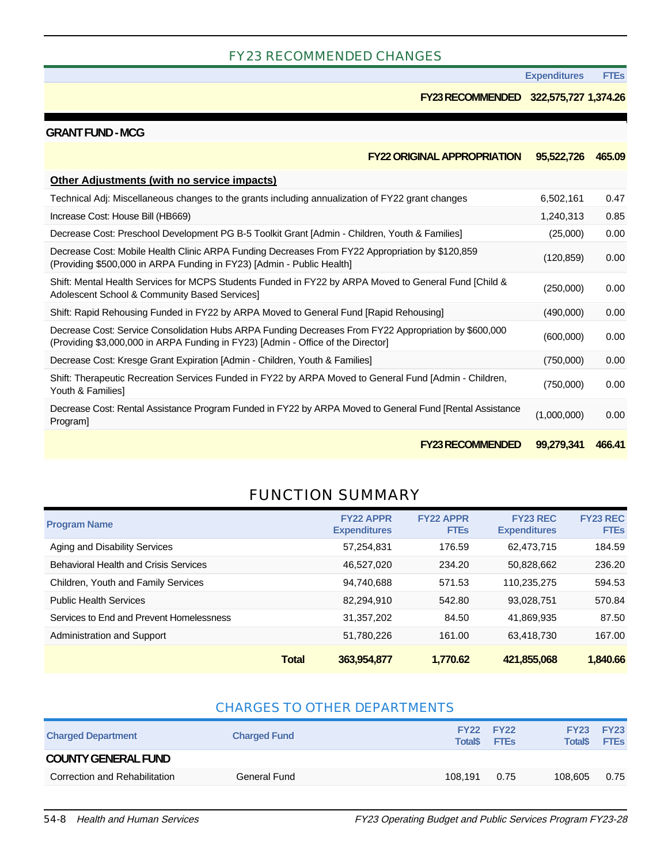#### FY23 RECOMMENDED CHANGES

**Expenditures FTEs**

#### **FY23 RECOMMENDED 322,575,727 1,374.26**

#### **GRANT FUND - MCG**

| <b>FY22 ORIGINAL APPROPRIATION</b>                                                                                                                                                        | 95,522,726  | 465.09 |
|-------------------------------------------------------------------------------------------------------------------------------------------------------------------------------------------|-------------|--------|
| <b>Other Adjustments (with no service impacts)</b>                                                                                                                                        |             |        |
| Technical Adj: Miscellaneous changes to the grants including annualization of FY22 grant changes                                                                                          | 6,502,161   | 0.47   |
| Increase Cost: House Bill (HB669)                                                                                                                                                         | 1,240,313   | 0.85   |
| Decrease Cost: Preschool Development PG B-5 Toolkit Grant [Admin - Children, Youth & Families]                                                                                            | (25,000)    | 0.00   |
| Decrease Cost: Mobile Health Clinic ARPA Funding Decreases From FY22 Appropriation by \$120,859<br>(Providing \$500,000 in ARPA Funding in FY23) [Admin - Public Health]                  | (120, 859)  | 0.00   |
| Shift: Mental Health Services for MCPS Students Funded in FY22 by ARPA Moved to General Fund [Child &<br>Adolescent School & Community Based Services]                                    | (250,000)   | 0.00   |
| Shift: Rapid Rehousing Funded in FY22 by ARPA Moved to General Fund [Rapid Rehousing]                                                                                                     | (490,000)   | 0.00   |
| Decrease Cost: Service Consolidation Hubs ARPA Funding Decreases From FY22 Appropriation by \$600,000<br>(Providing \$3,000,000 in ARPA Funding in FY23) [Admin - Office of the Director] | (600,000)   | 0.00   |
| Decrease Cost: Kresge Grant Expiration [Admin - Children, Youth & Families]                                                                                                               | (750,000)   | 0.00   |
| Shift: Therapeutic Recreation Services Funded in FY22 by ARPA Moved to General Fund [Admin - Children,<br>Youth & Families]                                                               | (750,000)   | 0.00   |
| Decrease Cost: Rental Assistance Program Funded in FY22 by ARPA Moved to General Fund [Rental Assistance<br>Program]                                                                      | (1,000,000) | 0.00   |
| <b>FY23 RECOMMENDED</b>                                                                                                                                                                   | 99,279,341  | 466.41 |

### FUNCTION SUMMARY

| <b>Program Name</b>                          | <b>FY22 APPR</b><br><b>Expenditures</b> | <b>FY22 APPR</b><br><b>FTEs</b> | <b>FY23 REC</b><br><b>Expenditures</b> | <b>FY23 REC</b><br><b>FTEs</b> |
|----------------------------------------------|-----------------------------------------|---------------------------------|----------------------------------------|--------------------------------|
| Aging and Disability Services                | 57,254,831                              | 176.59                          | 62,473,715                             | 184.59                         |
| <b>Behavioral Health and Crisis Services</b> | 46.527.020                              | 234.20                          | 50.828.662                             | 236.20                         |
| Children, Youth and Family Services          | 94,740,688                              | 571.53                          | 110.235.275                            | 594.53                         |
| <b>Public Health Services</b>                | 82.294.910                              | 542.80                          | 93,028,751                             | 570.84                         |
| Services to End and Prevent Homelessness     | 31.357.202                              | 84.50                           | 41.869.935                             | 87.50                          |
| Administration and Support                   | 51,780,226                              | 161.00                          | 63,418,730                             | 167.00                         |
| <b>Total</b>                                 | 363,954,877                             | 1.770.62                        | 421,855,068                            | 1,840.66                       |

#### CHARGES TO OTHER DEPARTMENTS

| <b>Charged Department</b>     | <b>Charged Fund</b> | <b>Total</b> <sup></sup> | <b>FY22 FY22</b><br><b>FTEs</b> | <b>Total</b> <sup>\$</sup> | <b>FY23 FY23</b><br><b>FTEs</b> |
|-------------------------------|---------------------|--------------------------|---------------------------------|----------------------------|---------------------------------|
| <b>COUNTY GENERAL FUND</b>    |                     |                          |                                 |                            |                                 |
| Correction and Rehabilitation | General Fund        | 108.191                  | 0.75                            | 108,605                    | 0.75                            |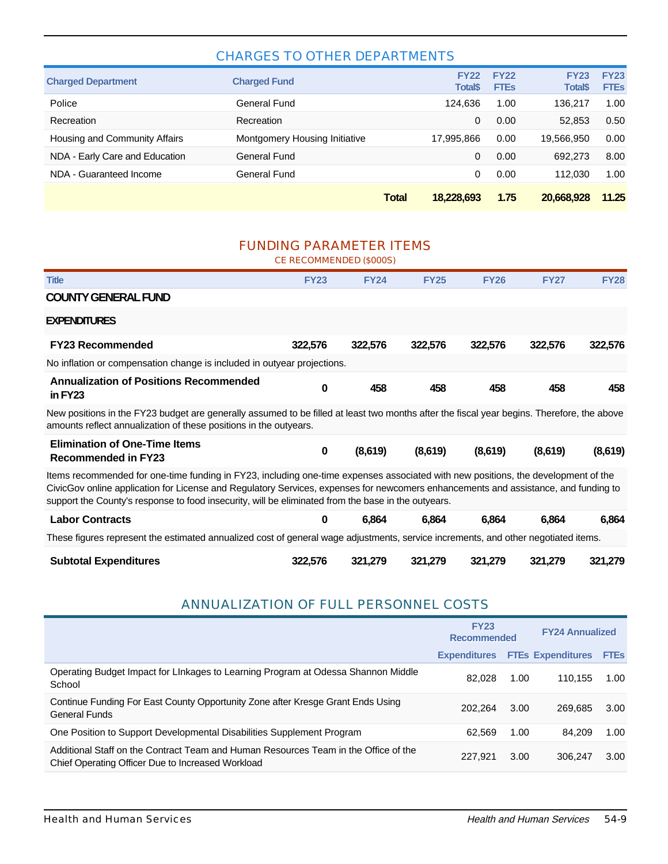#### CHARGES TO OTHER DEPARTMENTS

|                                |                               | Total | 18.228.693                     | 1.75                       | 20.668.928                                | 11.25                      |
|--------------------------------|-------------------------------|-------|--------------------------------|----------------------------|-------------------------------------------|----------------------------|
| NDA - Guaranteed Income        | General Fund                  |       | 0                              | 0.00                       | 112.030                                   | 1.00                       |
| NDA - Early Care and Education | General Fund                  |       | 0                              | 0.00                       | 692.273                                   | 8.00                       |
| Housing and Community Affairs  | Montgomery Housing Initiative |       | 17,995,866                     | 0.00                       | 19,566,950                                | 0.00                       |
| Recreation                     | Recreation                    |       | 0                              | 0.00                       | 52.853                                    | 0.50                       |
| Police                         | General Fund                  |       | 124.636                        | 1.00                       | 136.217                                   | 1.00                       |
| <b>Charged Department</b>      | <b>Charged Fund</b>           |       | <b>FY22</b><br><b>Total</b> \$ | <b>FY22</b><br><b>FTEs</b> | <b>FY23</b><br><b>Total</b> <sup>\$</sup> | <b>FY23</b><br><b>FTEs</b> |

#### FUNDING PARAMETER ITEMS

CE RECOMMENDED (\$000S)

| <b>Title</b>                                                                                                                                                                                                                                                                                                                                                                    | <b>FY23</b> | <b>FY24</b> | <b>FY25</b> | <b>FY26</b> | <b>FY27</b> | <b>FY28</b> |  |  |
|---------------------------------------------------------------------------------------------------------------------------------------------------------------------------------------------------------------------------------------------------------------------------------------------------------------------------------------------------------------------------------|-------------|-------------|-------------|-------------|-------------|-------------|--|--|
| <b>COUNTY GENERAL FUND</b>                                                                                                                                                                                                                                                                                                                                                      |             |             |             |             |             |             |  |  |
| <b>EXPENDITURES</b>                                                                                                                                                                                                                                                                                                                                                             |             |             |             |             |             |             |  |  |
| <b>FY23 Recommended</b>                                                                                                                                                                                                                                                                                                                                                         | 322,576     | 322,576     | 322,576     | 322,576     | 322,576     | 322,576     |  |  |
| No inflation or compensation change is included in outyear projections.                                                                                                                                                                                                                                                                                                         |             |             |             |             |             |             |  |  |
| <b>Annualization of Positions Recommended</b><br>in $FY23$                                                                                                                                                                                                                                                                                                                      | 0           | 458         | 458         | 458         | 458         | 458         |  |  |
| New positions in the FY23 budget are generally assumed to be filled at least two months after the fiscal year begins. Therefore, the above<br>amounts reflect annualization of these positions in the outyears.                                                                                                                                                                 |             |             |             |             |             |             |  |  |
| <b>Elimination of One-Time Items</b><br><b>Recommended in FY23</b>                                                                                                                                                                                                                                                                                                              | 0           | (8,619)     | (8,619)     | (8,619)     | (8,619)     | (8,619)     |  |  |
| Items recommended for one-time funding in FY23, including one-time expenses associated with new positions, the development of the<br>CivicGov online application for License and Regulatory Services, expenses for newcomers enhancements and assistance, and funding to<br>support the County's response to food insecurity, will be eliminated from the base in the outyears. |             |             |             |             |             |             |  |  |
| <b>Labor Contracts</b>                                                                                                                                                                                                                                                                                                                                                          | 0           | 6,864       | 6,864       | 6,864       | 6,864       | 6,864       |  |  |
| These figures represent the estimated annualized cost of general wage adjustments, service increments, and other negotiated items.                                                                                                                                                                                                                                              |             |             |             |             |             |             |  |  |
| <b>Subtotal Expenditures</b>                                                                                                                                                                                                                                                                                                                                                    | 322,576     | 321,279     | 321,279     | 321,279     | 321,279     | 321,279     |  |  |

#### ANNUALIZATION OF FULL PERSONNEL COSTS

|                                                                                                                                          | <b>FY23</b><br><b>Recommended</b> |      | <b>FY24 Annualized</b>        |      |
|------------------------------------------------------------------------------------------------------------------------------------------|-----------------------------------|------|-------------------------------|------|
|                                                                                                                                          | <b>Expenditures</b>               |      | <b>FTES Expenditures FTES</b> |      |
| Operating Budget Impact for Linkages to Learning Program at Odessa Shannon Middle<br>School                                              | 82.028                            | 1.00 | 110.155                       | 1.00 |
| Continue Funding For East County Opportunity Zone after Kresge Grant Ends Using<br><b>General Funds</b>                                  | 202.264                           | 3.00 | 269.685                       | 3.00 |
| One Position to Support Developmental Disabilities Supplement Program                                                                    | 62.569                            | 1.00 | 84.209                        | 1.00 |
| Additional Staff on the Contract Team and Human Resources Team in the Office of the<br>Chief Operating Officer Due to Increased Workload | 227.921                           | 3.00 | 306.247                       | 3.00 |